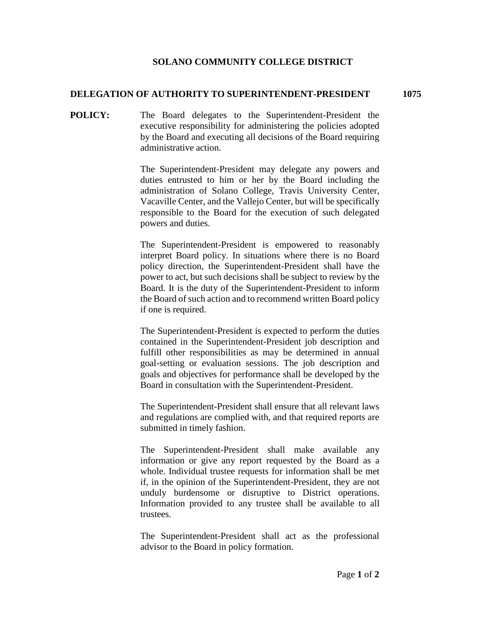## **SOLANO COMMUNITY COLLEGE DISTRICT**

## **DELEGATION OF AUTHORITY TO SUPERINTENDENT-PRESIDENT 1075**

**POLICY:** The Board delegates to the Superintendent-President the executive responsibility for administering the policies adopted by the Board and executing all decisions of the Board requiring administrative action.

> The Superintendent-President may delegate any powers and duties entrusted to him or her by the Board including the administration of Solano College, Travis University Center, Vacaville Center, and the Vallejo Center, but will be specifically responsible to the Board for the execution of such delegated powers and duties.

> The Superintendent-President is empowered to reasonably interpret Board policy. In situations where there is no Board policy direction, the Superintendent-President shall have the power to act, but such decisions shall be subject to review by the Board. It is the duty of the Superintendent-President to inform the Board of such action and to recommend written Board policy if one is required.

> The Superintendent-President is expected to perform the duties contained in the Superintendent-President job description and fulfill other responsibilities as may be determined in annual goal-setting or evaluation sessions. The job description and goals and objectives for performance shall be developed by the Board in consultation with the Superintendent-President.

> The Superintendent-President shall ensure that all relevant laws and regulations are complied with, and that required reports are submitted in timely fashion.

> The Superintendent-President shall make available any information or give any report requested by the Board as a whole. Individual trustee requests for information shall be met if, in the opinion of the Superintendent-President, they are not unduly burdensome or disruptive to District operations. Information provided to any trustee shall be available to all trustees.

> The Superintendent-President shall act as the professional advisor to the Board in policy formation.